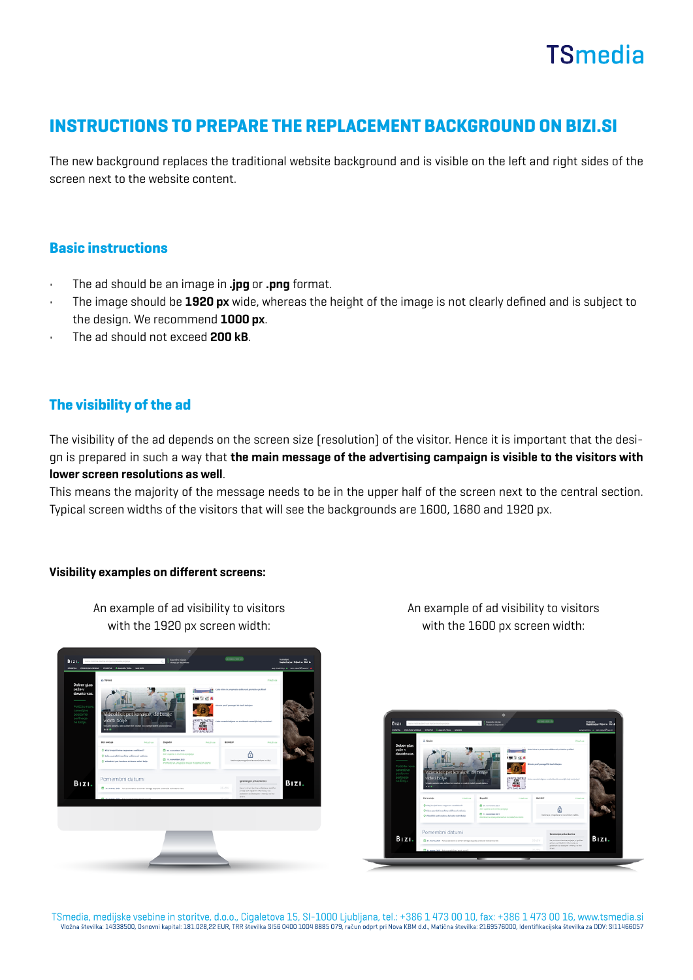## **TSmedia**

### INSTRUCTIONS TO PREPARE THE REPLACEMENT BACKGROUND ON BIZI.SI

The new background replaces the traditional website background and is visible on the left and right sides of the screen next to the website content.

#### Basic instructions

- The ad should be an image in .jpg or .png format.
- The image should be 1920 px wide, whereas the height of the image is not clearly defined and is subject to the design. We recommend **1000 px**.
- The ad should not exceed 200 kB.

#### The visibility of the ad

The visibility of the ad depends on the screen size (resolution) of the visitor. Hence it is important that the design is prepared in such a way that the main message of the advertising campaign is visible to the visitors with lower screen resolutions as well.

This means the majority of the message needs to be in the upper half of the screen next to the central section. Typical screen widths of the visitors that will see the backgrounds are 1600, 1680 and 1920 px.

#### Visibility examples on different screens:

An example of ad visibility to visitors with the 1920 px screen width:



An example of ad visibility to visitors with the 1600 px screen width:



TSmedia, medijske vsebine in storitve, d.o.o., Cigaletova 15, SI-1000 Ljubljana, tel.: +386 1 473 00 10, fax: +386 1 473 00 16, www.tsmedia.si Vložna številka: 14338500, Osnovni kapital: 181.028,22 EUR, TRR številka SI56 0400 1004 8885 079, račun odprt pri Nova KBM d.d., Matična številka: 2169576000, Identifikacijska številka za DDV: SI11466057